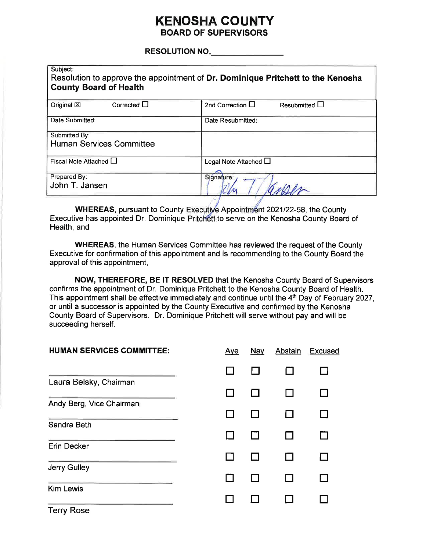## **KENOSHA COUNTY BOARD OF SUPERVISORS**

#### **RESOLUTION NO.**

| Subject:<br>Resolution to approve the appointment of Dr. Dominique Pritchett to the Kenosha<br><b>County Board of Health</b> |                                                |  |  |  |
|------------------------------------------------------------------------------------------------------------------------------|------------------------------------------------|--|--|--|
| Corrected $\Box$<br>Original <b>図</b>                                                                                        | 2nd Correction $\Box$<br>Resubmitted $\square$ |  |  |  |
| Date Submitted:                                                                                                              | Date Resubmitted:                              |  |  |  |
| Submitted By:<br><b>Human Services Committee</b>                                                                             |                                                |  |  |  |
| Fiscal Note Attached $\Box$                                                                                                  | Legal Note Attached $\square$                  |  |  |  |
| Prepared By:<br>John T. Jansen                                                                                               | Signature:                                     |  |  |  |

WHEREAS, pursuant to County Executive Appointment 2021/22-58, the County Executive has appointed Dr. Dominique Pritchett to serve on the Kenosha County Board of Health, and

**WHEREAS, the Human Services Committee has reviewed the request of the County** Executive for confirmation of this appointment and is recommending to the County Board the approval of this appointment,

NOW, THEREFORE, BE IT RESOLVED that the Kenosha County Board of Supervisors confirms the appointment of Dr. Dominique Pritchett to the Kenosha County Board of Health. This appointment shall be effective immediately and continue until the 4<sup>th</sup> Day of February 2027, or until a successor is appointed by the County Executive and confirmed by the Kenosha County Board of Supervisors. Dr. Dominique Pritchett will serve without pay and will be succeeding herself.

| <b>HUMAN SERVICES COMMITTEE:</b> | <u>Aye</u> | <b>Nay</b> | <b>Abstain</b> | <b>Excused</b> |
|----------------------------------|------------|------------|----------------|----------------|
|                                  |            |            |                |                |
| Laura Belsky, Chairman           |            |            |                |                |
| Andy Berg, Vice Chairman         |            |            |                |                |
| Sandra Beth                      |            |            |                |                |
| <b>Erin Decker</b>               |            |            |                |                |
| <b>Jerry Gulley</b>              |            |            |                |                |
| <b>Kim Lewis</b>                 |            |            |                |                |
| $T = 4 + 5 - 1$                  |            |            |                |                |

Terry Rose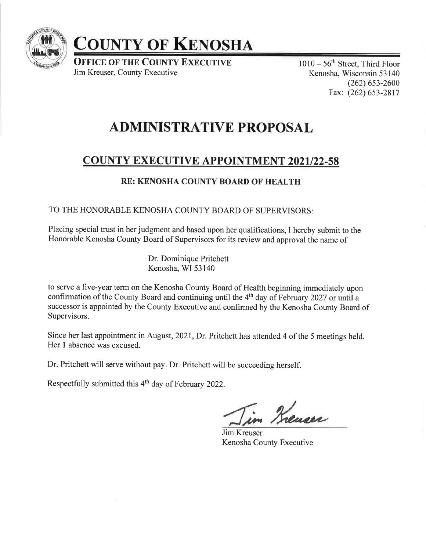

# CoUNTY oF KExoSHA

**OFFICE OF THE COUNTY EXECUTIVE** Jim Kreuser, County Executive

 $1010-56$ <sup>th</sup> Street, Third Floor Kenosha, Wisconsin 53 140 (262) 6s3-2600 Fax: (262) 653-2817

## ADMINISTRATIVE PROPOSAL

## **COUNTY EXECUTIVE APPOINTMENT 2021/22-58**

### RE: KENOSHA COUNTY BOARD OF HEALTH

TO THE HONORABLE KENOSHA COUNTY BOARD OF SUPERVISORS:

Placing special trust in her judgment and based upon her qualifications, I hereby submit to the Honorable Kenosha County Board of Supervisors for its review and approval the name of

> Dr. Dominique Pritchett Kenosha, WI 53140

to serve a five-year term on the Kenosha County Board of Health beginning immediately upon confirmation of the County Board and continuing until the 4<sup>th</sup> day of February 2027 or until a successor is appointed by the County Executive and confirmed by the Kenosha County Board of Supervisors.

Since her last appointment in August,202l, Dr. Pritchett has attended 4 of the 5 meetings held. Her I absence was excused.

Dr. Pritchett will serve without pay. Dr. Pritchett will be succeeding herself.

Respectfully submitted this 4<sup>th</sup> day of February 2022.

m Kreuser

Jim Kreuser Kenosha County Executive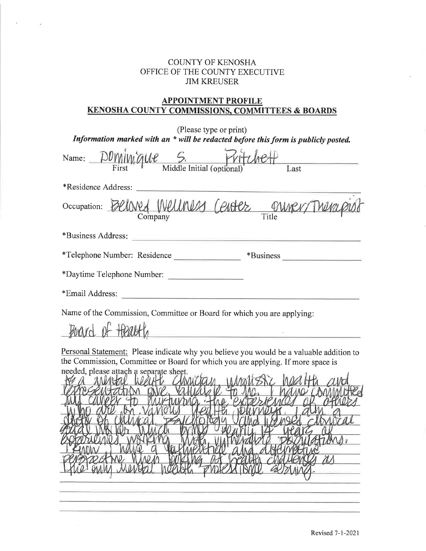#### COUNTY OF KENOSHA OFFICE OF THE COUNTY EXECUTIVE JIM KREUSER

 $\mathcal{L}^{\ast}$ 

 $\lambda$ 

#### APPOINTMENT PROFILE KENOSHA COUNTY COMMISSIONS. COMMITTEES & BOARDS

| (Please type or print)<br>Information marked with an * will be redacted before this form is publicly posted.                                                                                                                                                                                                                                                                                                                                                                                                 |
|--------------------------------------------------------------------------------------------------------------------------------------------------------------------------------------------------------------------------------------------------------------------------------------------------------------------------------------------------------------------------------------------------------------------------------------------------------------------------------------------------------------|
| Name: $D O M M Q U C$ S. $V H U C H$<br>First Middle Initial (optional) Last                                                                                                                                                                                                                                                                                                                                                                                                                                 |
| *Residence Address:                                                                                                                                                                                                                                                                                                                                                                                                                                                                                          |
| Occupation: Beloned Welliness Center onner/Thera                                                                                                                                                                                                                                                                                                                                                                                                                                                             |
|                                                                                                                                                                                                                                                                                                                                                                                                                                                                                                              |
| *Telephone Number: Residence                                                                                                                                                                                                                                                                                                                                                                                                                                                                                 |
| *Daytime Telephone Number:                                                                                                                                                                                                                                                                                                                                                                                                                                                                                   |
| *Email Address:                                                                                                                                                                                                                                                                                                                                                                                                                                                                                              |
| Name of the Commission, Committee or Board for which you are applying:<br>Poard of Health<br><u> 1980 - Johann Barn, mars eta bainar eta politikaria (h. 1980).</u><br>1980 - Johann Barn, margolaria eta bainar eta bainarra (h. 1980).<br>Personal Statement: Please indicate why you believe you would be a valuable addition to<br>the Commission, Committee or Board for which you are applying. If more space is<br>needed, please attach a separate sheet.<br><b>VALO CAMA</b><br>NOU<br>tions.<br>ñΛ |
|                                                                                                                                                                                                                                                                                                                                                                                                                                                                                                              |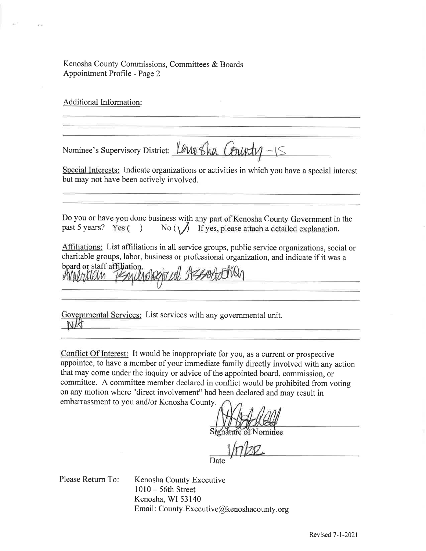Kenosha County Commissions, Committees & Boards Appointment Profile - Page 2

Additional Information:

Nominee's Supervisory District: Lewis Sha County-15

Special Interests: Indicate organizations or activities in which you have a special interest but may not have been actively involved.

Do you or have you done business with any part of Kenosha County Government in the past 5 years? Yes ( $\bigcirc$ ) No ( $\bigcirc$ ) If yes, please attach a detailed explanation. No ( $\bigvee$  If yes, please attach a detailed explanation.

Affiliations: List affiliations in all service groups, public service organizations, social or charitable groups, labor, business or professional organization, and indicate if it was a board or staff affiliation.

Governmental Services: List services with any governmental unit. NK

Conflict Of Interest: It would be inappropriate for you, as a current or prospective appointee, to have a member of your immediate family directly involved with any action that may come under the inquiry or advice of the appointed board, commission, or committee. A committee member declared in conflict would be prohibited from voting on any motion where "direct involvement" had been declared and may result in embarrassment to you and/or Kenosha County.

of Nominee

 $h7177$ Date

Please Retum To:

Kenosha County Executive <sup>1010</sup>- 56th Street Kenosha, WI 53140 Email: County. Executive@kenoshacounty.org